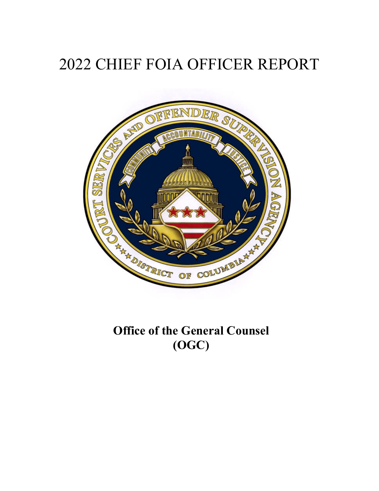# 2022 CHIEF FOIA OFFICER REPORT



**Office of the General Counsel (OGC)**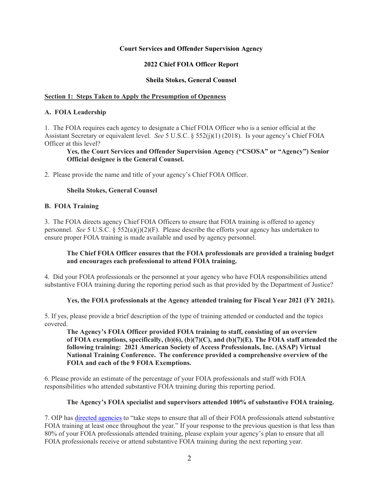# **Court Services and Offender Supervision Agency**

# **2022 Chief FOIA Officer Report**

#### **Sheila Stokes, General Counsel**

#### **Section 1: Steps Taken to Apply the Presumption of Openness**

#### **A. FOIA Leadership**

1. The FOIA requires each agency to designate a Chief FOIA Officer who is a senior official at the Assistant Secretary or equivalent level. *See* 5 U.S.C. § 552(j)(1) (2018). Is your agency's Chief FOIA Officer at this level?

# **Yes, the Court Services and Offender Supervision Agency ("CSOSA" or "Agency") Senior Official designee is the General Counsel.**

2. Please provide the name and title of your agency's Chief FOIA Officer.

#### **Sheila Stokes, General Counsel**

# **B. FOIA Training**

3. The FOIA directs agency Chief FOIA Officers to ensure that FOIA training is offered to agency personnel. *See* 5 U.S.C. § 552(a)(j)(2)(F). Please describe the efforts your agency has undertaken to ensure proper FOIA training is made available and used by agency personnel.

# **The Chief FOIA Officer ensures that the FOIA professionals are provided a training budget and encourages each professional to attend FOIA training.**

4. Did your FOIA professionals or the personnel at your agency who have FOIA responsibilities attend substantive FOIA training during the reporting period such as that provided by the Department of Justice?

#### Yes, the FOIA professionals at the Agency attended training for Fiscal Year 2021 (FY 2021).

5. If yes, please provide a brief description of the type of training attended or conducted and the topics covered.

**The Agency's FOIA Officer provided FOIA training to staff, consisting of an overview of FOIA exemptions, specifically, (b)(6), (b)(7)(C), and (b)(7)(E). The FOIA staff attended the following training: 2021 American Society of Access Professionals, Inc. (ASAP) Virtual National Training Conference. The conference provided a comprehensive overview of the FOIA and each of the 9 FOIA Exemptions.** 

6. Please provide an estimate of the percentage of your FOIA professionals and staff with FOIA responsibilities who attended substantive FOIA training during this reporting period.

# **The Agency's FOIA specialist and supervisors attended 100% of substantive FOIA training.**

7. OIP has directed agencies to "take steps to ensure that all of their FOIA professionals attend substantive FOIA training at least once throughout the year." If your response to the previous question is that less than 80% of your FOIA professionals attended training, please explain your agency's plan to ensure that all FOIA professionals receive or attend substantive FOIA training during the next reporting year.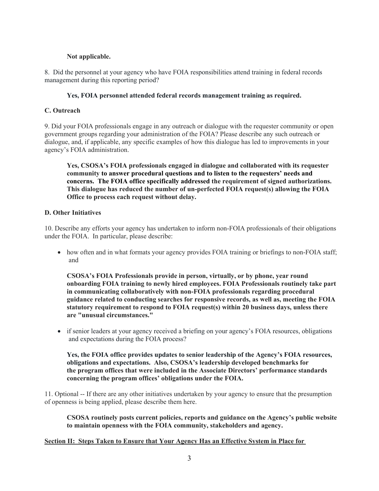# **Not applicable.**

8. Did the personnel at your agency who have FOIA responsibilities attend training in federal records management during this reporting period?

# **Yes, FOIA personnel attended federal records management training as required.**

# **C. Outreach**

9. Did your FOIA professionals engage in any outreach or dialogue with the requester community or open government groups regarding your administration of the FOIA? Please describe any such outreach or dialogue, and, if applicable, any specific examples of how this dialogue has led to improvements in your agency's FOIA administration.

**Yes, CSOSA's FOIA professionals engaged in dialogue and collaborated with its requester community to answer procedural questions and to listen to the requesters' needs and concerns. The FOIA office specifically addressed the requirement of signed authorizations. This dialogue has reduced the number of un-perfected FOIA request(s) allowing the FOIA Office to process each request without delay.** 

# **D. Other Initiatives**

10. Describe any efforts your agency has undertaken to inform non-FOIA professionals of their obligations under the FOIA. In particular, please describe:

• how often and in what formats your agency provides FOIA training or briefings to non-FOIA staff; and

**CSOSA's FOIA Professionals provide in person, virtually, or by phone, year round onboarding FOIA training to newly hired employees. FOIA Professionals routinely take part in communicating collaboratively with non-FOIA professionals regarding procedural guidance related to conducting searches for responsive records, as well as, meeting the FOIA statutory requirement to respond to FOIA request(s) within 20 business days, unless there are "unusual circumstances."** 

 if senior leaders at your agency received a briefing on your agency's FOIA resources, obligations and expectations during the FOIA process?

**Yes, the FOIA office provides updates to senior leadership of the Agency's FOIA resources, obligations and expectations. Also, CSOSA's leadership developed benchmarks for the program offices that were included in the Associate Directors' performance standards concerning the program offices' obligations under the FOIA.** 

11. Optional -- If there are any other initiatives undertaken by your agency to ensure that the presumption of openness is being applied, please describe them here.

**CSOSA routinely posts current policies, reports and guidance on the Agency's public website to maintain openness with the FOIA community, stakeholders and agency.** 

**Section II: Steps Taken to Ensure that Your Agency Has an Effective System in Place for**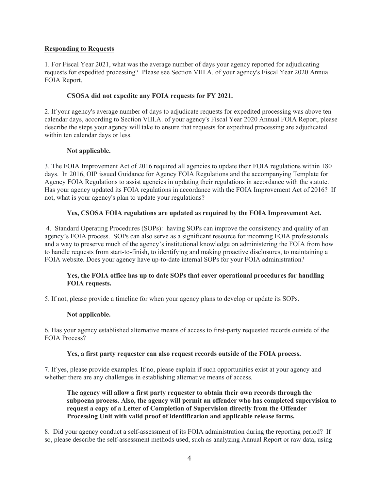# **Responding to Requests**

1. For Fiscal Year 2021, what was the average number of days your agency reported for adjudicating requests for expedited processing? Please see Section VIII.A. of your agency's Fiscal Year 2020 Annual FOIA Report.

# **CSOSA did not expedite any FOIA requests for FY 2021.**

2. If your agency's average number of days to adjudicate requests for expedited processing was above ten calendar days, according to Section VIII.A. of your agency's Fiscal Year 2020 Annual FOIA Report, please describe the steps your agency will take to ensure that requests for expedited processing are adjudicated within ten calendar days or less.

# **Not applicable.**

3. The FOIA Improvement Act of 2016 required all agencies to update their FOIA regulations within 180 days. In 2016, OIP issued Guidance for Agency FOIA Regulations and the accompanying Template for Agency FOIA Regulations to assist agencies in updating their regulations in accordance with the statute. Has your agency updated its FOIA regulations in accordance with the FOIA Improvement Act of 2016? If not, what is your agency's plan to update your regulations?

# **Yes, CSOSA FOIA regulations are updated as required by the FOIA Improvement Act.**

 4. Standard Operating Procedures (SOPs): having SOPs can improve the consistency and quality of an agency's FOIA process. SOPs can also serve as a significant resource for incoming FOIA professionals and a way to preserve much of the agency's institutional knowledge on administering the FOIA from how to handle requests from start-to-finish, to identifying and making proactive disclosures, to maintaining a FOIA website. Does your agency have up-to-date internal SOPs for your FOIA administration?

# **Yes, the FOIA office has up to date SOPs that cover operational procedures for handling FOIA requests.**

5. If not, please provide a timeline for when your agency plans to develop or update its SOPs.

# **Not applicable.**

6. Has your agency established alternative means of access to first-party requested records outside of the FOIA Process?

# **Yes, a first party requester can also request records outside of the FOIA process.**

7. If yes, please provide examples. If no, please explain if such opportunities exist at your agency and whether there are any challenges in establishing alternative means of access.

**The agency will allow a first party requester to obtain their own records through the subpoena process. Also, the agency will permit an offender who has completed supervision to request a copy of a Letter of Completion of Supervision directly from the Offender Processing Unit with valid proof of identification and applicable release forms.** 

8. Did your agency conduct a self-assessment of its FOIA administration during the reporting period? If so, please describe the self-assessment methods used, such as analyzing Annual Report or raw data, using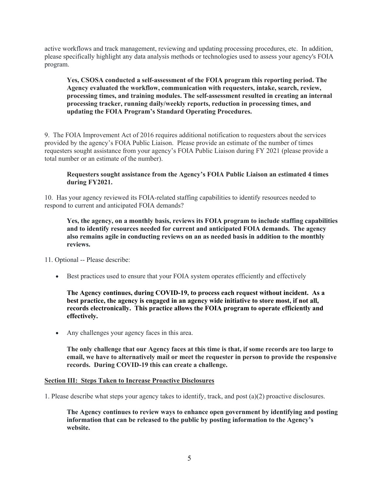active workflows and track management, reviewing and updating processing procedures, etc. In addition, please specifically highlight any data analysis methods or technologies used to assess your agency's FOIA program.

# **Yes, CSOSA conducted a self-assessment of the FOIA program this reporting period. The Agency evaluated the workflow, communication with requesters, intake, search, review, processing times, and training modules. The self-assessment resulted in creating an internal processing tracker, running daily/weekly reports, reduction in processing times, and updating the FOIA Program's Standard Operating Procedures.**

9. The FOIA Improvement Act of 2016 requires additional notification to requesters about the services provided by the agency's FOIA Public Liaison. Please provide an estimate of the number of times requesters sought assistance from your agency's FOIA Public Liaison during FY 2021 (please provide a total number or an estimate of the number).

# **Requesters sought assistance from the Agency's FOIA Public Liaison an estimated 4 times during FY2021.**

10. Has your agency reviewed its FOIA-related staffing capabilities to identify resources needed to respond to current and anticipated FOIA demands?

# **Yes, the agency, on a monthly basis, reviews its FOIA program to include staffing capabilities and to identify resources needed for current and anticipated FOIA demands. The agency also remains agile in conducting reviews on an as needed basis in addition to the monthly reviews.**

11. Optional -- Please describe:

Best practices used to ensure that your FOIA system operates efficiently and effectively

**The Agency continues, during COVID-19, to process each request without incident. As a best practice, the agency is engaged in an agency wide initiative to store most, if not all, records electronically. This practice allows the FOIA program to operate efficiently and effectively.** 

Any challenges your agency faces in this area.

**The only challenge that our Agency faces at this time is that, if some records are too large to email, we have to alternatively mail or meet the requester in person to provide the responsive records. During COVID-19 this can create a challenge.** 

# **Section III: Steps Taken to Increase Proactive Disclosures**

1. Please describe what steps your agency takes to identify, track, and post (a)(2) proactive disclosures.

**The Agency continues to review ways to enhance open government by identifying and posting information that can be released to the public by posting information to the Agency's website.**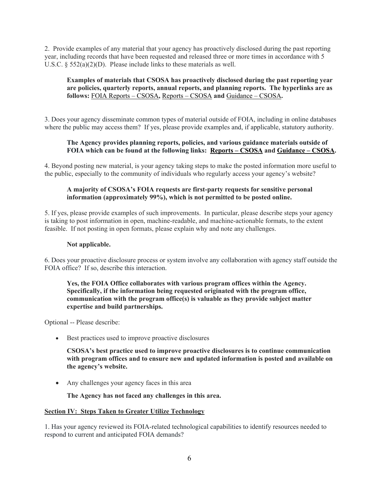2. Provide examples of any material that your agency has proactively disclosed during the past reporting year, including records that have been requested and released three or more times in accordance with 5 U.S.C. § 552(a)(2)(D). Please include links to these materials as well.

# **Examples of materials that CSOSA has proactively disclosed during the past reporting year are policies, quarterly reports, annual reports, and planning reports. The hyperlinks are as follows:** FOIA Reports – CSOSA**,** Reports – CSOSA **and** Guidance – CSOSA**.**

3. Does your agency disseminate common types of material outside of FOIA, including in online databases where the public may access them? If yes, please provide examples and, if applicable, statutory authority.

# **The Agency provides planning reports, policies, and various guidance materials outside of FOIA which can be found at the following links: Reports – CSOSA and Guidance – CSOSA.**

4. Beyond posting new material, is your agency taking steps to make the posted information more useful to the public, especially to the community of individuals who regularly access your agency's website?

# **A majority of CSOSA's FOIA requests are first-party requests for sensitive personal information (approximately 99%), which is not permitted to be posted online.**

5. If yes, please provide examples of such improvements. In particular, please describe steps your agency is taking to post information in open, machine-readable, and machine-actionable formats, to the extent feasible. If not posting in open formats, please explain why and note any challenges.

# **Not applicable.**

6. Does your proactive disclosure process or system involve any collaboration with agency staff outside the FOIA office? If so, describe this interaction.

**Yes, the FOIA Office collaborates with various program offices within the Agency. Specifically, if the information being requested originated with the program office, communication with the program office(s) is valuable as they provide subject matter expertise and build partnerships.** 

Optional -- Please describe:

Best practices used to improve proactive disclosures

**CSOSA's best practice used to improve proactive disclosures is to continue communication with program offices and to ensure new and updated information is posted and available on the agency's website.** 

• Any challenges your agency faces in this area

**The Agency has not faced any challenges in this area.** 

# **Section IV: Steps Taken to Greater Utilize Technology**

1. Has your agency reviewed its FOIA-related technological capabilities to identify resources needed to respond to current and anticipated FOIA demands?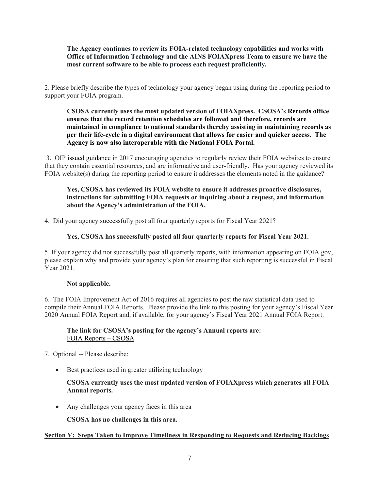# **The Agency continues to review its FOIA-related technology capabilities and works with Office of Information Technology and the AINS FOIAXpress Team to ensure we have the most current software to be able to process each request proficiently.**

2. Please briefly describe the types of technology your agency began using during the reporting period to support your FOIA program.

**CSOSA currently uses the most updated version of FOIAXpress. CSOSA's Records office ensures that the record retention schedules are followed and therefore, records are maintained in compliance to national standards thereby assisting in maintaining records as per their life-cycle in a digital environment that allows for easier and quicker access. The Agency is now also interoperable with the National FOIA Portal.** 

3. OIP issued guidance in 2017 encouraging agencies to regularly review their FOIA websites to ensure that they contain essential resources, and are informative and user-friendly. Has your agency reviewed its FOIA website(s) during the reporting period to ensure it addresses the elements noted in the guidance?

# **Yes, CSOSA has reviewed its FOIA website to ensure it addresses proactive disclosures, instructions for submitting FOIA requests or inquiring about a request, and information about the Agency's administration of the FOIA.**

4. Did your agency successfully post all four quarterly reports for Fiscal Year 2021?

# **Yes, CSOSA has successfully posted all four quarterly reports for Fiscal Year 2021.**

5. If your agency did not successfully post all quarterly reports, with information appearing on [FOIA.gov](https://FOIA.gov), please explain why and provide your agency's plan for ensuring that such reporting is successful in Fiscal Year 2021.

# **Not applicable.**

6. The FOIA Improvement Act of 2016 requires all agencies to post the raw statistical data used to compile their Annual FOIA Reports. Please provide the link to this posting for your agency's Fiscal Year 2020 Annual FOIA Report and, if available, for your agency's Fiscal Year 2021 Annual FOIA Report.

# **The link for CSOSA's posting for the agency's Annual reports are:**  FOIA Reports – CSOSA

7. Optional -- Please describe:

• Best practices used in greater utilizing technology

# **CSOSA currently uses the most updated version of FOIAXpress which generates all FOIA Annual reports.**

Any challenges your agency faces in this area

**CSOSA has no challenges in this area.** 

# **Section V: Steps Taken to Improve Timeliness in Responding to Requests and Reducing Backlogs**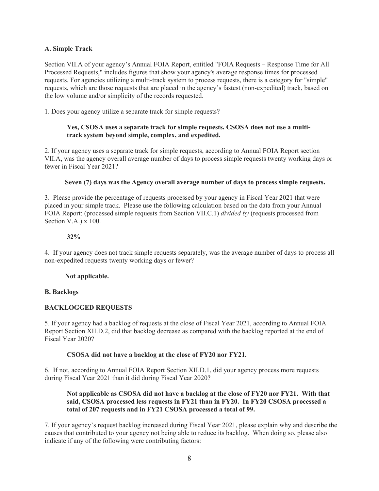# **A. Simple Track**

Section VII.A of your agency's Annual FOIA Report, entitled "FOIA Requests – Response Time for All Processed Requests," includes figures that show your agency's average response times for processed requests. For agencies utilizing a multi-track system to process requests, there is a category for "simple" requests, which are those requests that are placed in the agency's fastest (non-expedited) track, based on the low volume and/or simplicity of the records requested.

1. Does your agency utilize a separate track for simple requests?

# **Yes, CSOSA uses a separate track for simple requests. CSOSA does not use a multitrack system beyond simple, complex, and expedited.**

2. If your agency uses a separate track for simple requests, according to Annual FOIA Report section VII.A, was the agency overall average number of days to process simple requests twenty working days or fewer in Fiscal Year 2021?

# **Seven (7) days was the Agency overall average number of days to process simple requests.**

3. Please provide the percentage of requests processed by your agency in Fiscal Year 2021 that were placed in your simple track. Please use the following calculation based on the data from your Annual FOIA Report: (processed simple requests from Section VII.C.1) *divided by* (requests processed from Section V.A.) x 100.

# **32%**

4. If your agency does not track simple requests separately, was the average number of days to process all non-expedited requests twenty working days or fewer?

# **Not applicable.**

# **B. Backlogs**

# **BACKLOGGED REQUESTS**

5. If your agency had a backlog of requests at the close of Fiscal Year 2021, according to Annual FOIA Report Section XII.D.2, did that backlog decrease as compared with the backlog reported at the end of Fiscal Year 2020?

# **CSOSA did not have a backlog at the close of FY20 nor FY21.**

6. If not, according to Annual FOIA Report Section XII.D.1, did your agency process more requests during Fiscal Year 2021 than it did during Fiscal Year 2020?

# **Not applicable as CSOSA did not have a backlog at the close of FY20 nor FY21. With that said, CSOSA processed less requests in FY21 than in FY20. In FY20 CSOSA processed a total of 207 requests and in FY21 CSOSA processed a total of 99.**

7. If your agency's request backlog increased during Fiscal Year 2021, please explain why and describe the causes that contributed to your agency not being able to reduce its backlog. When doing so, please also indicate if any of the following were contributing factors: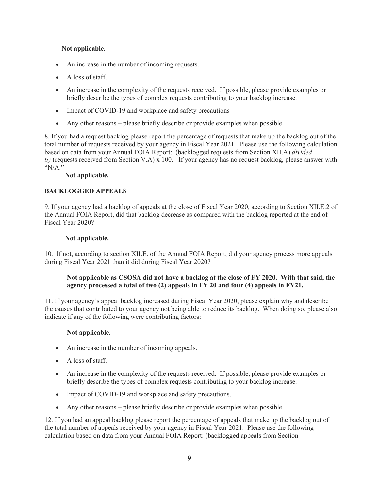# **Not applicable.**

- An increase in the number of incoming requests.
- A loss of staff.
- An increase in the complexity of the requests received. If possible, please provide examples or briefly describe the types of complex requests contributing to your backlog increase.
- Impact of COVID-19 and workplace and safety precautions
- Any other reasons please briefly describe or provide examples when possible.

8. If you had a request backlog please report the percentage of requests that make up the backlog out of the total number of requests received by your agency in Fiscal Year 2021. Please use the following calculation based on data from your Annual FOIA Report: (backlogged requests from Section XII.A) *divided by* (requests received from Section V.A) x 100. If your agency has no request backlog, please answer with "N/A."

# **Not applicable.**

# **BACKLOGGED APPEALS**

9. If your agency had a backlog of appeals at the close of Fiscal Year 2020, according to Section XII.E.2 of the Annual FOIA Report, did that backlog decrease as compared with the backlog reported at the end of Fiscal Year 2020?

# **Not applicable.**

10. If not, according to section XII.E. of the Annual FOIA Report, did your agency process more appeals during Fiscal Year 2021 than it did during Fiscal Year 2020?

# **Not applicable as CSOSA did not have a backlog at the close of FY 2020. With that said, the agency processed a total of two (2) appeals in FY 20 and four (4) appeals in FY21.**

11. If your agency's appeal backlog increased during Fiscal Year 2020, please explain why and describe the causes that contributed to your agency not being able to reduce its backlog. When doing so, please also indicate if any of the following were contributing factors:

# **Not applicable.**

- An increase in the number of incoming appeals.
- A loss of staff.
- An increase in the complexity of the requests received. If possible, please provide examples or briefly describe the types of complex requests contributing to your backlog increase.
- Impact of COVID-19 and workplace and safety precautions.
- Any other reasons please briefly describe or provide examples when possible.

12. If you had an appeal backlog please report the percentage of appeals that make up the backlog out of the total number of appeals received by your agency in Fiscal Year 2021. Please use the following calculation based on data from your Annual FOIA Report: (backlogged appeals from Section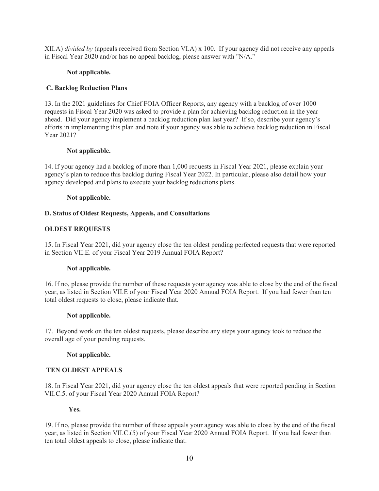XII.A) *divided by* (appeals received from Section VI.A) x 100. If your agency did not receive any appeals in Fiscal Year 2020 and/or has no appeal backlog, please answer with "N/A."

# **Not applicable.**

# **C. Backlog Reduction Plans**

13. In the 2021 guidelines for Chief FOIA Officer Reports, any agency with a backlog of over 1000 requests in Fiscal Year 2020 was asked to provide a plan for achieving backlog reduction in the year ahead. Did your agency implement a backlog reduction plan last year? If so, describe your agency's efforts in implementing this plan and note if your agency was able to achieve backlog reduction in Fiscal Year 2021?

# **Not applicable.**

14. If your agency had a backlog of more than 1,000 requests in Fiscal Year 2021, please explain your agency's plan to reduce this backlog during Fiscal Year 2022. In particular, please also detail how your agency developed and plans to execute your backlog reductions plans.

# **Not applicable.**

# **D. Status of Oldest Requests, Appeals, and Consultations**

# **OLDEST REQUESTS**

15. In Fiscal Year 2021, did your agency close the ten oldest pending perfected requests that were reported in Section VII.E. of your Fiscal Year 2019 Annual FOIA Report?

# **Not applicable.**

16. If no, please provide the number of these requests your agency was able to close by the end of the fiscal year, as listed in Section VII.E of your Fiscal Year 2020 Annual FOIA Report. If you had fewer than ten total oldest requests to close, please indicate that.

# **Not applicable.**

17. Beyond work on the ten oldest requests, please describe any steps your agency took to reduce the overall age of your pending requests.

# **Not applicable.**

# **TEN OLDEST APPEALS**

18. In Fiscal Year 2021, did your agency close the ten oldest appeals that were reported pending in Section VII.C.5. of your Fiscal Year 2020 Annual FOIA Report?

# **Yes.**

19. If no, please provide the number of these appeals your agency was able to close by the end of the fiscal year, as listed in Section VII.C.(5) of your Fiscal Year 2020 Annual FOIA Report. If you had fewer than ten total oldest appeals to close, please indicate that.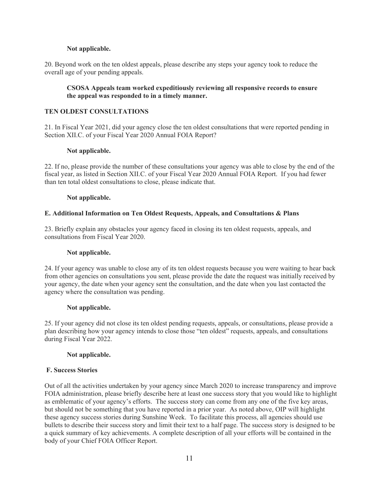# **Not applicable.**

20. Beyond work on the ten oldest appeals, please describe any steps your agency took to reduce the overall age of your pending appeals.

# **CSOSA Appeals team worked expeditiously reviewing all responsive records to ensure the appeal was responded to in a timely manner.**

#### **TEN OLDEST CONSULTATIONS**

21. In Fiscal Year 2021, did your agency close the ten oldest consultations that were reported pending in Section XII.C. of your Fiscal Year 2020 Annual FOIA Report?

#### **Not applicable.**

22. If no, please provide the number of these consultations your agency was able to close by the end of the fiscal year, as listed in Section XII.C. of your Fiscal Year 2020 Annual FOIA Report. If you had fewer than ten total oldest consultations to close, please indicate that.

#### **Not applicable.**

# **E. Additional Information on Ten Oldest Requests, Appeals, and Consultations & Plans**

23. Briefly explain any obstacles your agency faced in closing its ten oldest requests, appeals, and consultations from Fiscal Year 2020.

#### **Not applicable.**

24. If your agency was unable to close any of its ten oldest requests because you were waiting to hear back from other agencies on consultations you sent, please provide the date the request was initially received by your agency, the date when your agency sent the consultation, and the date when you last contacted the agency where the consultation was pending.

#### **Not applicable.**

25. If your agency did not close its ten oldest pending requests, appeals, or consultations, please provide a plan describing how your agency intends to close those "ten oldest" requests, appeals, and consultations during Fiscal Year 2022.

#### **Not applicable.**

# **F. Success Stories**

Out of all the activities undertaken by your agency since March 2020 to increase transparency and improve FOIA administration, please briefly describe here at least one success story that you would like to highlight as emblematic of your agency's efforts. The success story can come from any one of the five key areas, but should not be something that you have reported in a prior year. As noted above, OIP will highlight these agency success stories during Sunshine Week. To facilitate this process, all agencies should use bullets to describe their success story and limit their text to a half page. The success story is designed to be a quick summary of key achievements. A complete description of all your efforts will be contained in the body of your Chief FOIA Officer Report.